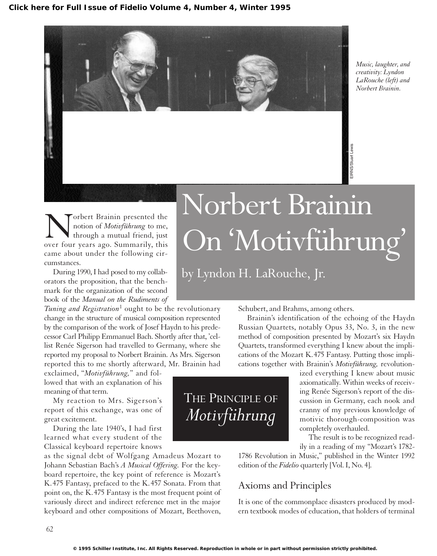

*Music, laughter, and creativity: Lyndon LaRouche (left) and Norbert Brainin.*

EIRNS/Stuart Lewis

Norbert Brainin presented the<br>
notion of *Motivführung* to me,<br>
through a mutual friend, just<br>
over four years ago. Summarily, this notion of *Motivführung* to me, through a mutual friend, just came about under the following circumstances.

During 1990, I had posed to my collaborators the proposition, that the benchmark for the organization of the second book of the *Manual on the Rudiments of*

*Tuning and Registration*<sup>1</sup> ought to be the revolutionary change in the structure of musical composition represented by the comparison of the work of Josef Haydn to his predecessor Carl Philipp Emmanuel Bach. Shortly after that, 'cellist Renée Sigerson had travelled to Germany, where she reported my proposal to Norbert Brainin. As Mrs. Sigerson reported this to me shortly afterward, Mr. Brainin had

exclaimed, "*Motivführung,*" and followed that with an explanation of his meaning of that term.

My reaction to Mrs. Sigerson's report of this exchange, was one of great excitement.

During the late 1940's, I had first learned what every student of the Classical keyboard repertoire knows

as the signal debt of Wolfgang Amadeus Mozart to Johann Sebastian Bach's *A Musical Offering.* For the keyboard repertoire, the key point of reference is Mozart's K.475 Fantasy, prefaced to the K.457 Sonata. From that point on, the K.475 Fantasy is the most frequent point of variously direct and indirect reference met in the major keyboard and other compositions of Mozart, Beethoven,

## Norbert Brainin On'Motivführung'

by Lyndon H. LaRouche, Jr.

Schubert, and Brahms, among others.

Brainin's identification of the echoing of the Haydn Russian Quartets, notably Opus 33, No. 3, in the new method of composition presented by Mozart's six Haydn Quartets, transformed everything I knew about the implications of the Mozart K.475 Fantasy. Putting those implications together with Brainin's *Motivführung,* revolution-

THE PRINCIPLE OF *Motivführung*

ized everything I knew about music axiomatically. Within weeks of receiving Renée Sigerson's report of the discussion in Germany, each nook and cranny of my previous knowledge of motivic thorough-composition was completely overhauled.

The result is to be recognized readily in a reading of my "Mozart's 1782-

1786 Revolution in Music," published in the Winter 1992 edition of the *Fidelio* quarterly [Vol. I, No. 4].

## Axioms and Principles

It is one of the commonplace disasters produced by modern textbook modes of education, that holders of terminal